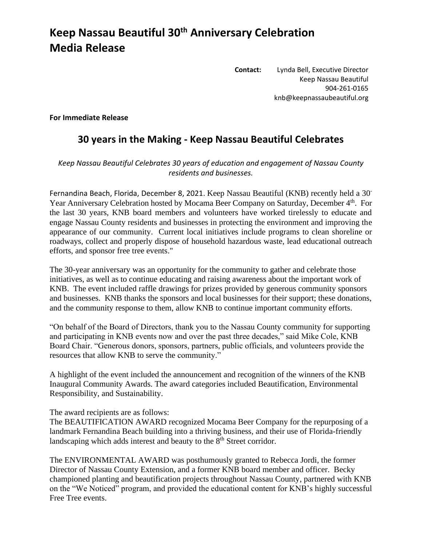## **Keep Nassau Beautiful 30th Anniversary Celebration Media Release**

**Contact:** Lynda Bell, Executive Director Keep Nassau Beautiful 904-261-0165 knb@keepnassaubeautiful.org

**For Immediate Release**

## **30 years in the Making - Keep Nassau Beautiful Celebrates**

## *Keep Nassau Beautiful Celebrates 30 years of education and engagement of Nassau County residents and businesses.*

Fernandina Beach, Florida, December 8, 2021. Keep Nassau Beautiful (KNB) recently held a 30- Year Anniversary Celebration hosted by Mocama Beer Company on Saturday, December 4<sup>th</sup>. For the last 30 years, KNB board members and volunteers have worked tirelessly to educate and engage Nassau County residents and businesses in protecting the environment and improving the appearance of our community. Current local initiatives include programs to clean shoreline or roadways, collect and properly dispose of household hazardous waste, lead educational outreach efforts, and sponsor free tree events."

The 30-year anniversary was an opportunity for the community to gather and celebrate those initiatives, as well as to continue educating and raising awareness about the important work of KNB. The event included raffle drawings for prizes provided by generous community sponsors and businesses. KNB thanks the sponsors and local businesses for their support; these donations, and the community response to them, allow KNB to continue important community efforts.

"On behalf of the Board of Directors, thank you to the Nassau County community for supporting and participating in KNB events now and over the past three decades," said Mike Cole, KNB Board Chair. "Generous donors, sponsors, partners, public officials, and volunteers provide the resources that allow KNB to serve the community."

A highlight of the event included the announcement and recognition of the winners of the KNB Inaugural Community Awards. The award categories included Beautification, Environmental Responsibility, and Sustainability.

The award recipients are as follows:

The BEAUTIFICATION AWARD recognized Mocama Beer Company for the repurposing of a landmark Fernandina Beach building into a thriving business, and their use of Florida-friendly landscaping which adds interest and beauty to the  $8<sup>th</sup>$  Street corridor.

The ENVIRONMENTAL AWARD was posthumously granted to Rebecca Jordi, the former Director of Nassau County Extension, and a former KNB board member and officer. Becky championed planting and beautification projects throughout Nassau County, partnered with KNB on the "We Noticed" program, and provided the educational content for KNB's highly successful Free Tree events.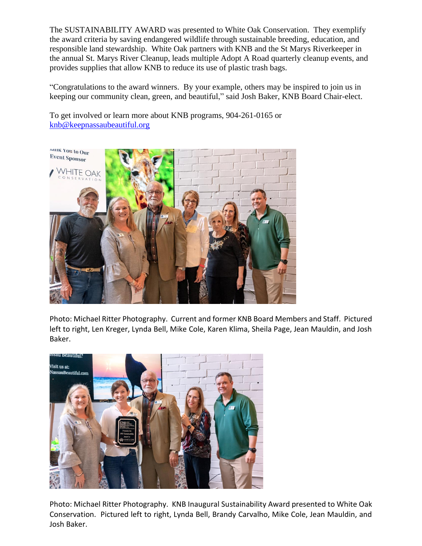The SUSTAINABILITY AWARD was presented to White Oak Conservation. They exemplify the award criteria by saving endangered wildlife through sustainable breeding, education, and responsible land stewardship. White Oak partners with KNB and the St Marys Riverkeeper in the annual St. Marys River Cleanup, leads multiple Adopt A Road quarterly cleanup events, and provides supplies that allow KNB to reduce its use of plastic trash bags.

"Congratulations to the award winners. By your example, others may be inspired to join us in keeping our community clean, green, and beautiful," said Josh Baker, KNB Board Chair-elect.

To get involved or learn more about KNB programs, 904-261-0165 or [knb@keepnassaubeautiful.org](mailto:knb@keepnassaubeautiful.org)



Photo: Michael Ritter Photography. Current and former KNB Board Members and Staff. Pictured left to right, Len Kreger, Lynda Bell, Mike Cole, Karen Klima, Sheila Page, Jean Mauldin, and Josh Baker.



Photo: Michael Ritter Photography. KNB Inaugural Sustainability Award presented to White Oak Conservation. Pictured left to right, Lynda Bell, Brandy Carvalho, Mike Cole, Jean Mauldin, and Josh Baker.